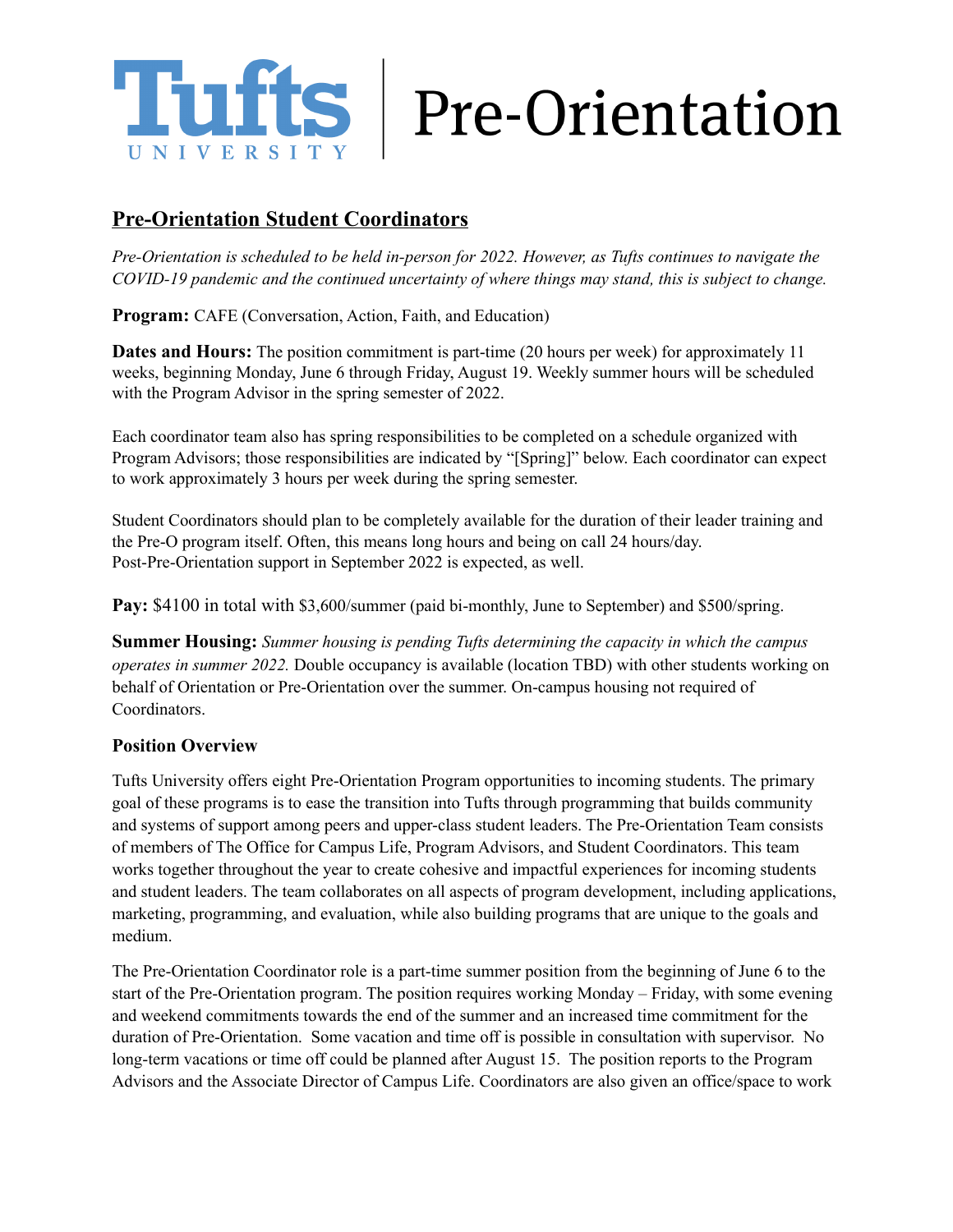

## **Pre-Orientation Student Coordinators**

*Pre-Orientation is scheduled to be held in-person for 2022. However, as Tufts continues to navigate the COVID-19 pandemic and the continued uncertainty of where things may stand, this is subject to change.*

**Program:** CAFE (Conversation, Action, Faith, and Education)

**Dates and Hours:** The position commitment is part-time (20 hours per week) for approximately 11 weeks, beginning Monday, June 6 through Friday, August 19. Weekly summer hours will be scheduled with the Program Advisor in the spring semester of 2022.

Each coordinator team also has spring responsibilities to be completed on a schedule organized with Program Advisors; those responsibilities are indicated by "[Spring]" below. Each coordinator can expect to work approximately 3 hours per week during the spring semester.

Student Coordinators should plan to be completely available for the duration of their leader training and the Pre-O program itself. Often, this means long hours and being on call 24 hours/day. Post-Pre-Orientation support in September 2022 is expected, as well.

**Pay:** \$4100 in total with \$3,600/summer (paid bi-monthly, June to September) and \$500/spring.

**Summer Housing:** *Summer housing is pending Tufts determining the capacity in which the campus operates in summer 2022.* Double occupancy is available (location TBD) with other students working on behalf of Orientation or Pre-Orientation over the summer. On-campus housing not required of **Coordinators** 

## **Position Overview**

Tufts University offers eight Pre-Orientation Program opportunities to incoming students. The primary goal of these programs is to ease the transition into Tufts through programming that builds community and systems of support among peers and upper-class student leaders. The Pre-Orientation Team consists of members of The Office for Campus Life, Program Advisors, and Student Coordinators. This team works together throughout the year to create cohesive and impactful experiences for incoming students and student leaders. The team collaborates on all aspects of program development, including applications, marketing, programming, and evaluation, while also building programs that are unique to the goals and medium.

The Pre-Orientation Coordinator role is a part-time summer position from the beginning of June 6 to the start of the Pre-Orientation program. The position requires working Monday – Friday, with some evening and weekend commitments towards the end of the summer and an increased time commitment for the duration of Pre-Orientation. Some vacation and time off is possible in consultation with supervisor. No long-term vacations or time off could be planned after August 15. The position reports to the Program Advisors and the Associate Director of Campus Life. Coordinators are also given an office/space to work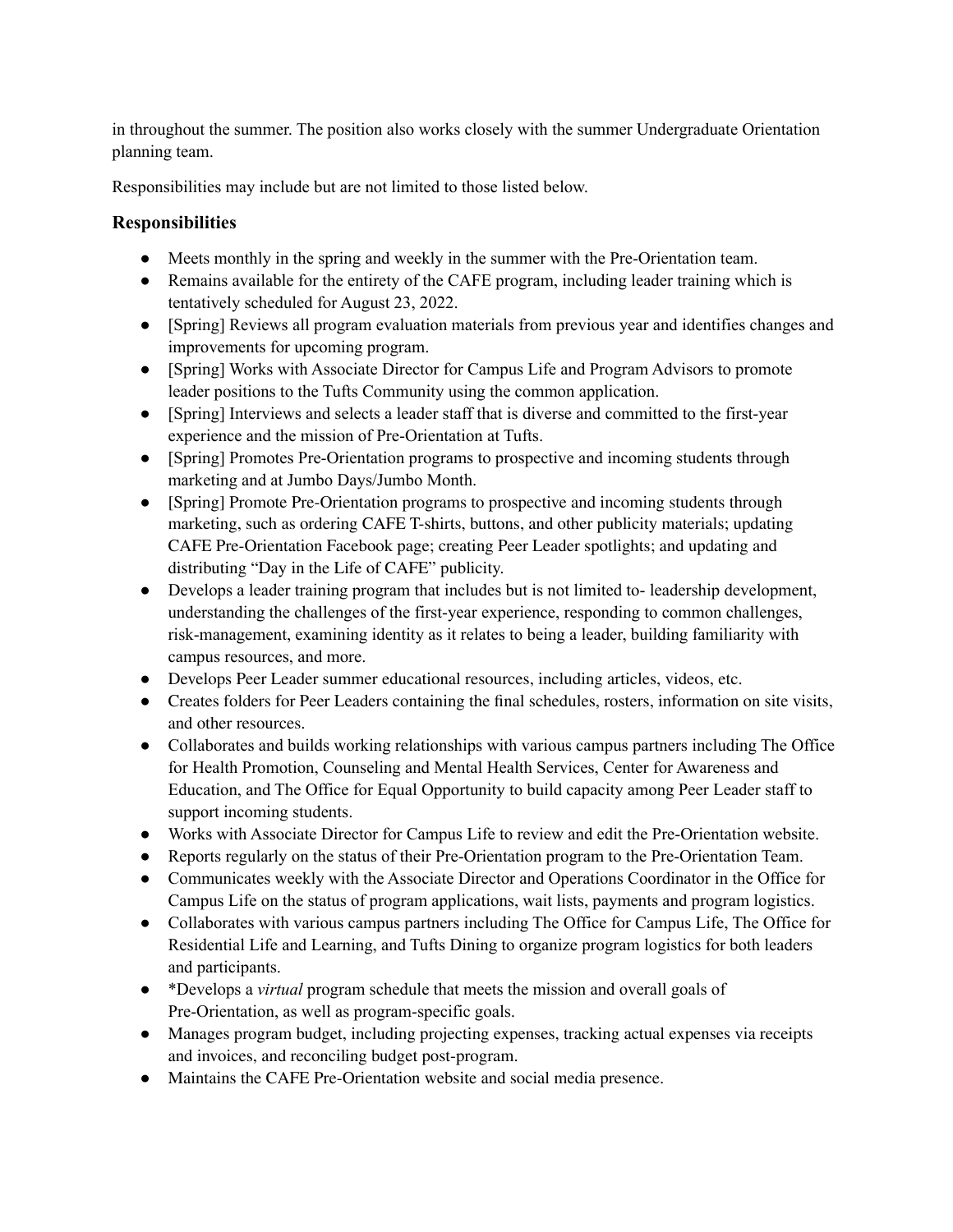in throughout the summer. The position also works closely with the summer Undergraduate Orientation planning team.

Responsibilities may include but are not limited to those listed below.

## **Responsibilities**

- Meets monthly in the spring and weekly in the summer with the Pre-Orientation team.
- Remains available for the entirety of the CAFE program, including leader training which is tentatively scheduled for August 23, 2022.
- [Spring] Reviews all program evaluation materials from previous year and identifies changes and improvements for upcoming program.
- [Spring] Works with Associate Director for Campus Life and Program Advisors to promote leader positions to the Tufts Community using the common application.
- [Spring] Interviews and selects a leader staff that is diverse and committed to the first-year experience and the mission of Pre-Orientation at Tufts.
- [Spring] Promotes Pre-Orientation programs to prospective and incoming students through marketing and at Jumbo Days/Jumbo Month.
- [Spring] Promote Pre-Orientation programs to prospective and incoming students through marketing, such as ordering CAFE T-shirts, buttons, and other publicity materials; updating CAFE Pre-Orientation Facebook page; creating Peer Leader spotlights; and updating and distributing "Day in the Life of CAFE" publicity.
- Develops a leader training program that includes but is not limited to- leadership development, understanding the challenges of the first-year experience, responding to common challenges, risk-management, examining identity as it relates to being a leader, building familiarity with campus resources, and more.
- Develops Peer Leader summer educational resources, including articles, videos, etc.
- Creates folders for Peer Leaders containing the final schedules, rosters, information on site visits, and other resources.
- Collaborates and builds working relationships with various campus partners including The Office for Health Promotion, Counseling and Mental Health Services, Center for Awareness and Education, and The Office for Equal Opportunity to build capacity among Peer Leader staff to support incoming students.
- Works with Associate Director for Campus Life to review and edit the Pre-Orientation website.
- Reports regularly on the status of their Pre-Orientation program to the Pre-Orientation Team.
- Communicates weekly with the Associate Director and Operations Coordinator in the Office for Campus Life on the status of program applications, wait lists, payments and program logistics.
- Collaborates with various campus partners including The Office for Campus Life, The Office for Residential Life and Learning, and Tufts Dining to organize program logistics for both leaders and participants.
- \*Develops a *virtual* program schedule that meets the mission and overall goals of Pre-Orientation, as well as program-specific goals.
- Manages program budget, including projecting expenses, tracking actual expenses via receipts and invoices, and reconciling budget post-program.
- Maintains the CAFE Pre-Orientation website and social media presence.